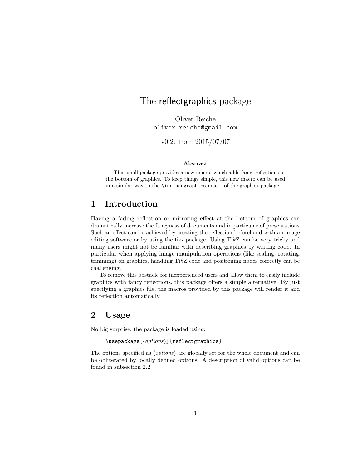## The reflectgraphics package

Oliver Reiche oliver.reiche@gmail.com

v0.2c from 2015/07/07

#### Abstract

This small package provides a new macro, which adds fancy reflections at the bottom of graphics. To keep things simple, this new macro can be used in a similar way to the \includegraphics macro of the graphicx package.

## 1 Introduction

Having a fading reflection or mirroring effect at the bottom of graphics can dramatically increase the fancyness of documents and in particular of presentations. Such an effect can be achieved by creating the reflection beforehand with an image editing software or by using the tikz package. Using  $TikZ$  can be very tricky and many users might not be familiar with describing graphics by writing code. In particular when applying image manipulation operations (like scaling, rotating, trimming) on graphics, handling TikZ code and positioning nodes correctly can be challenging.

To remove this obstacle for inexperienced users and allow them to easily include graphics with fancy reflections, this package offers a simple alternative. By just specifying a graphics file, the macros provided by this package will render it and its reflection automatically.

### 2 Usage

No big surprise, the package is loaded using:

 $\text{v}$ usepackage $[\langle options \rangle]$ {reflectgraphics}

The options specified as  $\langle options \rangle$  are globally set for the whole document and can be obliterated by locally defined options. A description of valid options can be found in subsection 2.2.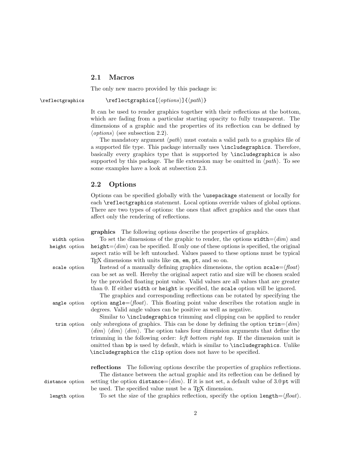#### 2.1 Macros

The only new macro provided by this package is:

\reflectgraphics \reflectgraphics  $\reflectgraphics[\{options\}]\{\{path\}$ 

It can be used to render graphics together with their reflections at the bottom, which are fading from a particular starting opacity to fully transparent. The dimensions of a graphic and the properties of its reflection can be defined by  $\langle options \rangle$  (see subsection 2.2).

The mandatory argument  $\langle path \rangle$  must contain a valid path to a graphics file of a supported file type. This package internally uses \includegraphics. Therefore, basically every graphics type that is supported by \includegraphics is also supported by this package. The file extension may be omitted in  $\langle path \rangle$ . To see some examples have a look at subsection 2.3.

#### 2.2 Options

Options can be specified globally with the \usepackage statement or locally for each **\reflectgraphics** statement. Local options override values of global options. There are two types of options: the ones that affect graphics and the ones that affect only the rendering of reflections.

|                 | <b>graphics</b> The following options describe the properties of graphics.                                                    |
|-----------------|-------------------------------------------------------------------------------------------------------------------------------|
| width option    | To set the dimensions of the graphic to render, the options $width= \langle dim \rangle$ and                                  |
| height option   | $height = \langle dim \rangle$ can be specified. If only one of these options is specified, the original                      |
|                 | aspect ratio will be left untouched. Values passed to these options must be typical                                           |
|                 | $T_F X$ dimensions with units like $cm$ , $em$ , $pt$ , and so on.                                                            |
| scale option    | Instead of a manually defining graphics dimensions, the option $\texttt{scale} = \langle \text{float} \rangle$                |
|                 | can be set as well. Hereby the original aspect ratio and size will be chosen scaled                                           |
|                 | by the provided floating point value. Valid values are all values that are greater                                            |
|                 | than 0. If either width or height is specified, the scale option will be ignored.                                             |
|                 | The graphics and corresponding reflections can be rotated by specifying the                                                   |
| angle option    | option angle = $\langle$ float $\rangle$ . This floating point value describes the rotation angle in                          |
|                 | degrees. Valid angle values can be positive as well as negative.                                                              |
|                 | Similar to <b>\includegraphics</b> trimming and clipping can be applied to render                                             |
| trim option     | only subregions of graphics. This can be done by defining the option $\text{trim}=\langle dim \rangle$                        |
|                 | $\langle dim \rangle$ $\langle dim \rangle$ $\langle dim \rangle$ . The option takes four dimension arguments that define the |
|                 | trimming in the following order: <i>left bottom right top</i> . If the dimension unit is                                      |
|                 | omitted than bp is used by default, which is similar to <b>\includegraphics</b> . Unlike                                      |
|                 | \includegraphics the clip option does not have to be specified.                                                               |
|                 |                                                                                                                               |
|                 | <b>reflections</b> The following options describe the properties of graphics reflections.                                     |
|                 | The distance between the actual graphic and its reflection can be defined by                                                  |
| distance option | setting the option distance= $\langle dim \rangle$ . If it is not set, a default value of 3.0 pt will                         |
|                 | be used. The specified value must be a T <sub>F</sub> X dimension.                                                            |
| length option   | To set the size of the graphics reflection, specify the option length= $\langle float \rangle$ .                              |
|                 |                                                                                                                               |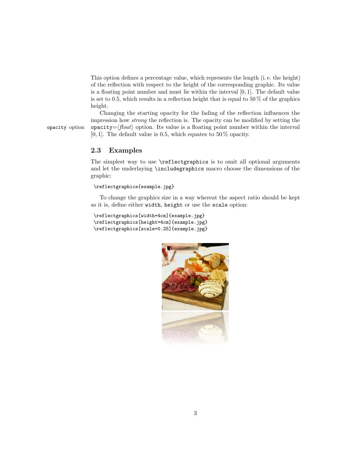This option defines a percentage value, which represents the length (i. e. the height) of the reflection with respect to the height of the corresponding graphic. Its value is a floating point number and must lie within the interval  $[0, 1]$ . The default value is set to 0.5, which results in a reflection height that is equal to 50  $\%$  of the graphics height.

Changing the starting opacity for the fading of the reflection influences the impression how strong the reflection is. The opacity can be modified by setting the opacity option opacity= $\langle float \rangle$  option. Its value is a floating point number within the interval [0, 1]. The default value is 0.5, which equates to 50  $\%$  opacity.

2.3 Examples

The simplest way to use **\reflectgraphics** is to omit all optional arguments and let the underlaying \includegraphics macro choose the dimensions of the graphic:

\reflectgraphics{example.jpg}

To change the graphics size in a way whereat the aspect ratio should be kept as it is, define either width, height or use the scale option:

```
\reflectgraphics[width=4cm]{example.jpg}
\reflectgraphics[height=4cm]{example.jpg}
\reflectgraphics[scale=0.25]{example.jpg}
```
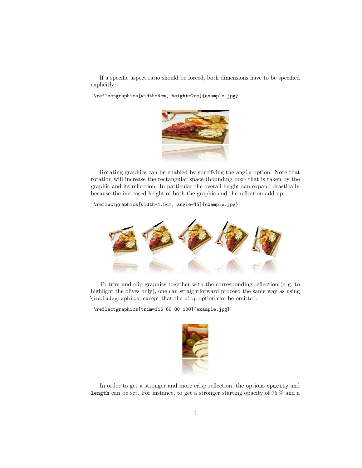If a specific aspect ratio should be forced, both dimensions have to be specified explicitly:

\reflectgraphics[width=4cm, height=2cm]{example.jpg}



Rotating graphics can be enabled by specifying the angle option. Note that rotation will increase the rectangular space (bounding box) that is taken by the graphic and its reflection. In particular the overall height can expand drastically, because the increased height of both the graphic and the reflection add up.

\reflectgraphics[width=1.5cm, angle=45]{example.jpg}



To trim and clip graphics together with the corresponding reflection (e. g. to highlight the olives only), one can straightforward proceed the same way as using \includegraphics, except that the clip option can be omitted:

\reflectgraphics[trim=115 60 80 100]{example.jpg}



In order to get a stronger and more crisp reflection, the options opacity and length can be set. For instance, to get a stronger starting opacity of 75 % and a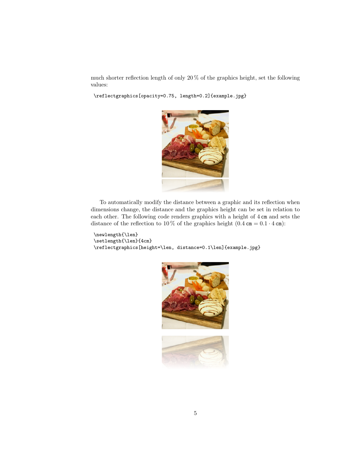much shorter reflection length of only 20 % of the graphics height, set the following values:

\reflectgraphics[opacity=0.75, length=0.2]{example.jpg}



To automatically modify the distance between a graphic and its reflection when dimensions change, the distance and the graphics height can be set in relation to each other. The following code renders graphics with a height of 4 cm and sets the distance of the reflection to 10 % of the graphics height  $(0.4 \text{ cm} = 0.1 \cdot 4 \text{ cm})$ :

```
\newlength{\len}
\setlength{\len}{4cm}
\reflectgraphics[height=\len, distance=0.1\len]{example.jpg}
```
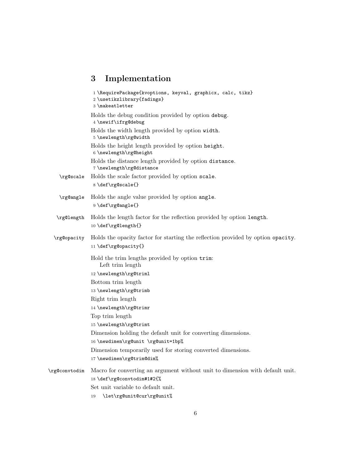# 3 Implementation

|               | 1\RequirePackage{kvoptions, keyval, graphicx, calc, tikz}<br>2 \usetikzlibrary{fadings}<br>3 \makeatletter |
|---------------|------------------------------------------------------------------------------------------------------------|
|               | Holds the debug condition provided by option debug.<br>4 \newif\ifrg@debug                                 |
|               | Holds the width length provided by option width.<br>5 \newlength\rg@width                                  |
|               | Holds the height length provided by option height.<br>6 \newlength\rg@height                               |
|               | Holds the distance length provided by option distance.<br>7\newlength\rg@distance                          |
| \rg@scale     | Holds the scale factor provided by option scale.<br>8 \def\rg@scale{}                                      |
| \rg@angle     | Holds the angle value provided by option angle.<br>9 \def\rg@angle{}                                       |
| \rg@length    | Holds the length factor for the reflection provided by option length.<br>10 \def\rg@length{}               |
| \rg@opacity   | Holds the opacity factor for starting the reflection provided by option opacity.<br>11 \def\rg@opacity{}   |
|               | Hold the trim lengths provided by option trim:<br>Left trim length                                         |
|               | 12 \newlength\rg@triml                                                                                     |
|               | Bottom trim length                                                                                         |
|               | 13 \newlength\rg@trimb                                                                                     |
|               | Right trim length<br>14 \newlength\rg@trimr                                                                |
|               | Top trim length                                                                                            |
|               | 15 \newlength\rg@trimt                                                                                     |
|               | Dimension holding the default unit for converting dimensions.                                              |
|               | 16 \newdimen\rg@unit \rg@unit=1bp%                                                                         |
|               | Dimension temporarily used for storing converted dimensions.                                               |
|               | 17 \newdimen\rg@trim@dim%                                                                                  |
| \rg@convtodim | Macro for converting an argument without unit to dimension with default unit.                              |
|               | 18 \def\rg@convtodim#1#2{%                                                                                 |
|               | Set unit variable to default unit.                                                                         |
|               | \let\rg@unit@cur\rg@unit%<br>19                                                                            |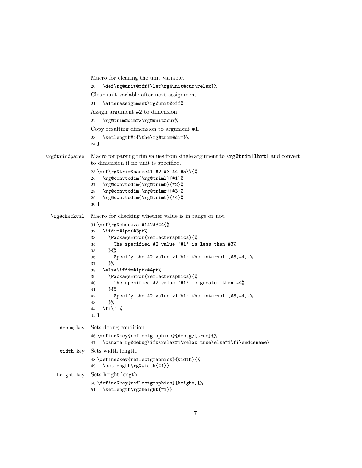```
Macro for clearing the unit variable.
                20 \def\rg@unit@off{\let\rg@unit@cur\relax}%
                Clear unit variable after next assignment.
                21 \afterassignment\rg@unit@off%
                Assign argument #2 to dimension.
                22 \rg@trim@dim#2\rg@unit@cur%
                Copy resulting dimension to argument #1.
                23 \setlength#1{\the\rg@trim@dim}%
                24 }
\rg@trim@parse Macro for parsing trim values from single argument to \rg@trim[lbrt] and convert
                to dimension if no unit is specified.
                25 \def\rg@trim@parse#1 #2 #3 #4 #5\\{%
                26 \rg@convtodim{\rg@triml}{#1}%
                27 \rg@convtodim{\rg@trimb}{#2}%
                28 \rg@convtodim{\rg@trimr}{#3}%
                29 \rg@convtodim{\rg@trimt}{#4}%
                30 }
 \rg@checkval Macro for checking whether value is in range or not.
                31 \def\rg@checkval#1#2#3#4{%
                32 \ifdim#1pt<#3pt%
                33 \PackageError{reflectgraphics}{%
                34 The specified #2 value '#1' is less than #3%
                35 \frac{18}{10}36 Specify the #2 value within the interval [#3,#4].%
                37 }%
                38 \else\ifdim#1pt>#4pt%
                39 \PackageError{reflectgraphics}{%
                40 The specified #2 value '#1' is greater than #4%
                41 }{%
                42 Specify the #2 value within the interval [#3,#4].%
                43 }%
                44 \ifmmode \big\vert\else\fi\fi\fi\fi45 }
     debug key Sets debug condition.
                46 \define@key{reflectgraphics}{debug}[true]{%
                47 \csname rg@debug\ifx\relax#1\relax true\else#1\fi\endcsname}
     width key Sets width length.
                48 \define@key{reflectgraphics}{width}{%
                49 \setlength\rg@width{#1}}
    height key Sets height length.
                50 \define@key{reflectgraphics}{height}{%
                51 \setlength\rg@height{#1}}
```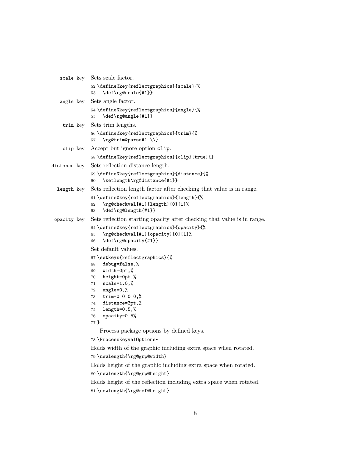```
scale key Sets scale factor.
              52 \define@key{reflectgraphics}{scale}{%
              53 \def\rg@scale{#1}}
   angle key Sets angle factor.
              54 \define@key{reflectgraphics}{angle}{%
              55 \def\rg@angle{#1}}
    trim key Sets trim lengths.
              56 \define@key{reflectgraphics}{trim}{%
              57 \rg@trim@parse#1 \\}
    clip key Accept but ignore option clip.
              58 \define@key{reflectgraphics}{clip}[true]{}
distance key Sets reflection distance length.
              59 \define@key{reflectgraphics}{distance}{%
              60 \setlength\rg@distance{#1}}
  length key Sets reflection length factor after checking that value is in range.
              61 \define@key{reflectgraphics}{length}{%
              62 \rg@checkval{#1}{length}{0}{1}%
              63 \def\rg@length{#1}}
 opacity key Sets reflection starting opacity after checking that value is in range.
              64 \define@key{reflectgraphics}{opacity}{%
              65 \rg@checkval{#1}{opacity}{0}{1}%
              66 \def\rg@opacity{#1}}
              Set default values.
              67 \setkeys{reflectgraphics}{%
              68 debug=false,%
              69 width=0pt,%
              70 height=0pt,%
              71 scale=1.0,%
              72 angle=0,%
              73 trim=0 0 0 0,%
              74 distance=3pt,%
              75 length=0.5,%
              76 opacity=0.5%
              77 }
                 Process package options by defined keys.
              78 \ProcessKeyvalOptions*
              Holds width of the graphic including extra space when rotated.
              79 \newlength{\rg@grp@width}
              Holds height of the graphic including extra space when rotated.
              80 \newlength{\rg@grp@height}
```
Holds height of the reflection including extra space when rotated. \newlength{\rg@ref@height}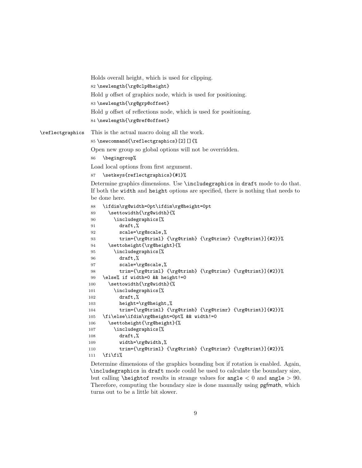```
Holds overall height, which is used for clipping.
                 82 \newlength{\rg@clp@height}
                 Hold y offset of graphics node, which is used for positioning.
                 83 \newlength{\rg@grp@offset}
                 Hold y offset of reflections node, which is used for positioning.
                 84 \newlength{\rg@ref@offset}
\reflectgraphics This is the actual macro doing all the work.
                 85 \newcommand{\reflectgraphics}[2][]{%
                 Open new group so global options will not be overridden.
                 86 \begingroup%
                 Load local options from first argument.
                 87 \setkeys{reflectgraphics}{#1}%
                 Determine graphics dimensions. Use \includegraphics in draft mode to do that.
                 If both the width and height options are specified, there is nothing that needs to
                 be done here.
                 88 \ifdim\rg@width=0pt\ifdim\rg@height=0pt
                 89 \settowidth{\rg@width}{%
                 90 \includegraphics[%
                 91 draft,%
                 92 scale=\rg@scale,%
                 93 trim={\rg@triml} {\rg@trimb} {\rg@trimr} {\rg@trimt}]{#2}}%
                 94 \settoheight{\rg@height}{%
                 95 \includegraphics[%
                 96 draft,%
                 97 scale=\rg@scale,%
                 98 trim={\rg@triml} {\rg@trimb} {\rg@trimr} {\rg@trimt}]{#2}}%
                 99 \else% if width=0 && height!=0
                100 \settowidth{\rg@width}{%
                101 \includegraphics[%
                102 draft,%
                103 height=\rg@height,%
                104 trim={\rg@triml} {\rg@trimb} {\rg@trimr} {\rg@trimt}]{#2}}%
                105 \fi\else\ifdim\rg@height=0pt% && width!=0
                106 \settoheight{\rg@height}{%
                107 \includegraphics[%]
                108 draft, %
```
110 trim={\rg@triml} {\rg@trimb} {\rg@trimr} {\rg@trimt}]{#2}}%  $111$  \fi\fi\%

109 width=\rg@width,%

Determine dimensions of the graphics bounding box if rotation is enabled. Again, \includegraphics in draft mode could be used to calculate the boundary size, but calling  $\heartsuit$  height of results in strange values for angle  $\lt 0$  and angle  $> 90$ . Therefore, computing the boundary size is done manually using pgfmath, which turns out to be a little bit slower.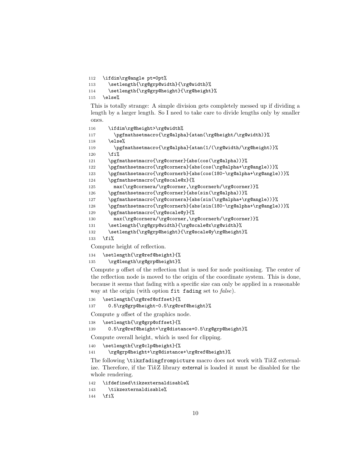\ifdim\rg@angle pt=0pt%

```
113 \setlength{\rg@grp@width}{\rg@width}%
```

```
114 \setlength{\rg@grp@height}{\rg@height}%
```
\else%

This is totally strange: A simple division gets completely messed up if dividing a length by a larger length. So I need to take care to divide lengths only by smaller ones.

```
116 \ifdim\rg@height>\rg@width%
117 \pgfmathsetmacro{\rg@alpha}{atan(\rg@height/\rg@width)}%
118 \else%
119 \pgfmathsetmacro{\rg@alpha}{atan(1/(\rg@width/\rg@height)}%
120 \quad \text{ifif}121 \pgfmathsetmacro{\rg@corner}{abs(cos(\rg@alpha))}%
122 \pgfmathsetmacro{\rg@cornera}{abs(cos(\rg@alpha+\rg@angle))}%
123 \pgfmathsetmacro{\rg@cornerb}{abs(cos(180-\rg@alpha+\rg@angle))}%
124 \pgfmathsetmacro{\rg@scale@x}{%
125 max(\rg@cornera/\rg@corner,\rg@cornerb/\rg@corner)}%
126 \pgfmathsetmacro{\rg@corner}{abs(sin(\rg@alpha))}%
127 \pgfmathsetmacro{\rg@cornera}{abs(sin(\rg@alpha+\rg@angle))}%
128 \pgfmathsetmacro{\rg@cornerb}{abs(sin(180-\rg@alpha+\rg@angle))}%
129 \pgfmathsetmacro{\rg@scale@y}{%
130 max(\rg@cornera/\rg@corner,\rg@cornerb/\rg@corner)}%
131 \setlength{\rg@grp@width}{\rg@scale@x\rg@width}%
132 \setlength{\rg@grp@height}{\rg@scale@y\rg@height}%
133 \fi%
```
Compute height of reflection.

```
134 \setlength{\rg@ref@height}{%
```

```
135 \rg@length\rg@grp@height}%
```
Compute  $y$  offset of the reflection that is used for node positioning. The center of the reflection node is moved to the origin of the coordinate system. This is done, because it seems that fading with a specific size can only be applied in a reasonable way at the origin (with option fit fading set to false).

\setlength{\rg@ref@offset}{%

```
137 0.5\rg@grp@height-0.5\rg@ref@height}%
```
Compute y offset of the graphics node.

```
138 \setlength{\rg@grp@offset}{%
```

```
139 0.5\rg@ref@height+\rg@distance+0.5\rg@grp@height}%
```
Compute overall height, which is used for clipping.

\setlength{\rg@clp@height}{%

```
141 \rg@grp@height+\rg@distance+\rg@ref@height}%
```
The following \tikzfadingfrompicture macro does not work with TikZ externalize. Therefore, if the TikZ library external is loaded it must be disabled for the whole rendering.

```
142 \ifdefined\tikzexternaldisable%
143 \tikzexternaldisable%
144 \overline{\text{if}}
```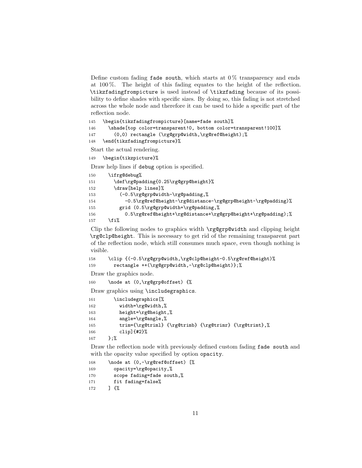Define custom fading fade south, which starts at  $0\%$  transparency and ends at 100 %. The height of this fading equates to the height of the reflection. \tikzfadingfrompicture is used instead of \tikzfading because of its possibility to define shades with specific sizes. By doing so, this fading is not stretched across the whole node and therefore it can be used to hide a specific part of the reflection node.

```
145 \begin{tikzfadingfrompicture}[name=fade south]%
```

```
146 \shade[top color=transparent!0, bottom color=transparent!100]%
```

```
147 (0,0) rectangle (\rg@grp@width,\rg@ref@height);%
```

```
148 \end{tikzfadingfrompicture}%
```
Start the actual rendering.

149 \begin{tikzpicture}%

Draw help lines if debug option is specified.

| 150 | \ifrg@debug%                                                 |
|-----|--------------------------------------------------------------|
| 151 | \def\rg@padding{0.25\rg@grp@height}%                         |
| 152 | \draw[help lines]%                                           |
| 153 | $(-0.5\rg0grp@width\rg0padding,$                             |
| 154 | -0.5\rg@ref@height-\rg@distance-\rg@grp@height-\rg@padding)% |
| 155 | grid (0.5\rg@grp@width+\rg@padding,%                         |
| 156 | 0.5\rg@ref@height+\rg@distance+\rg@grp@height+\rg@padding);% |
| 157 | ∖fi%                                                         |

Clip the following nodes to graphics width \rg@grp@width and clipping height \rg@clp@height. This is necessary to get rid of the remaining transparent part of the reflection node, which still consumes much space, even though nothing is visible.

```
158 \clip {(-0.5\rg@grp@width,\rg@clp@height-0.5\rg@ref@height)%
159 rectangle ++(\rg@grp@width,-\rg@clp@height)};%
```
Draw the graphics node.

160 \node at (0,\rg@grp@offset) {%

Draw graphics using \includegraphics.

| 161 | \includegraphics[%                                     |
|-----|--------------------------------------------------------|
| 162 | $width=\rg$ uidth, %                                   |
| 163 | height=\rg@height,%                                    |
| 164 | $angle='rge@angle.$                                    |
| 165 | trim={\rg@triml} {\rg@trimb} {\rg@trimr} {\rg@trimt},% |
| 166 | $clip]$ {#2}%                                          |
| 167 | }:%                                                    |

Draw the reflection node with previously defined custom fading fade south and with the opacity value specified by option opacity.

```
168 \node at (0,-\r\cdot\text{0}) [%]
169 opacity=\rg@opacity,%
170 scope fading=fade south,%
171 fit fading=false%
172 ] {%
```